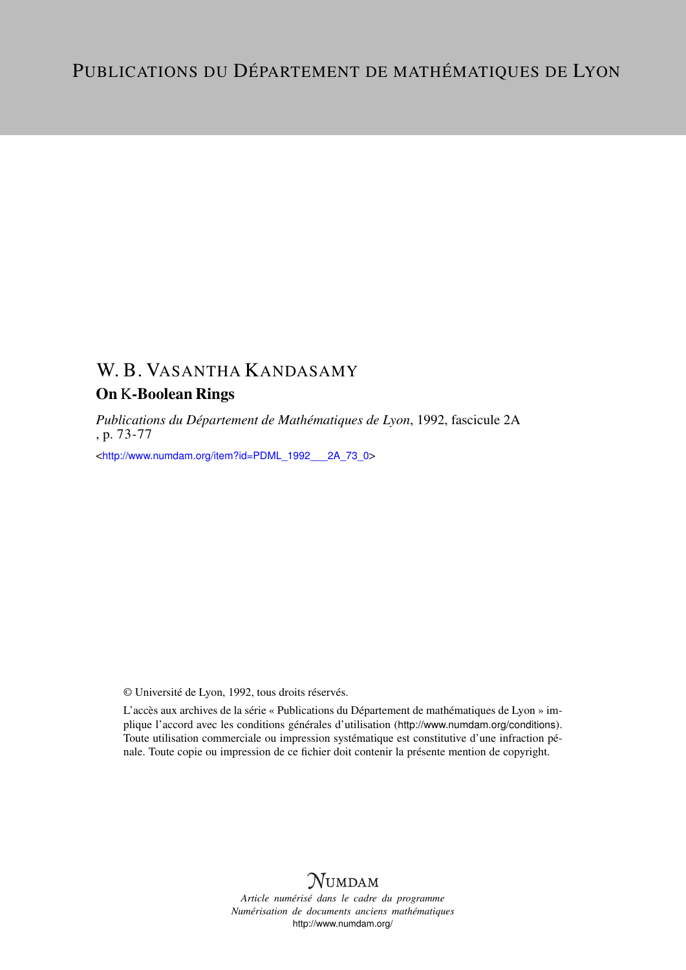## W. B. VASANTHA KANDASAMY

### On K-Boolean Rings

*Publications du Département de Mathématiques de Lyon*, 1992, fascicule 2A , p. 73-77

<[http://www.numdam.org/item?id=PDML\\_1992\\_\\_\\_2A\\_73\\_0](http://www.numdam.org/item?id=PDML_1992___2A_73_0)>

© Université de Lyon, 1992, tous droits réservés.

L'accès aux archives de la série « Publications du Département de mathématiques de Lyon » implique l'accord avec les conditions générales d'utilisation (<http://www.numdam.org/conditions>). Toute utilisation commerciale ou impression systématique est constitutive d'une infraction pénale. Toute copie ou impression de ce fichier doit contenir la présente mention de copyright.

# **NUMDAM**

*Article numérisé dans le cadre du programme Numérisation de documents anciens mathématiques* <http://www.numdam.org/>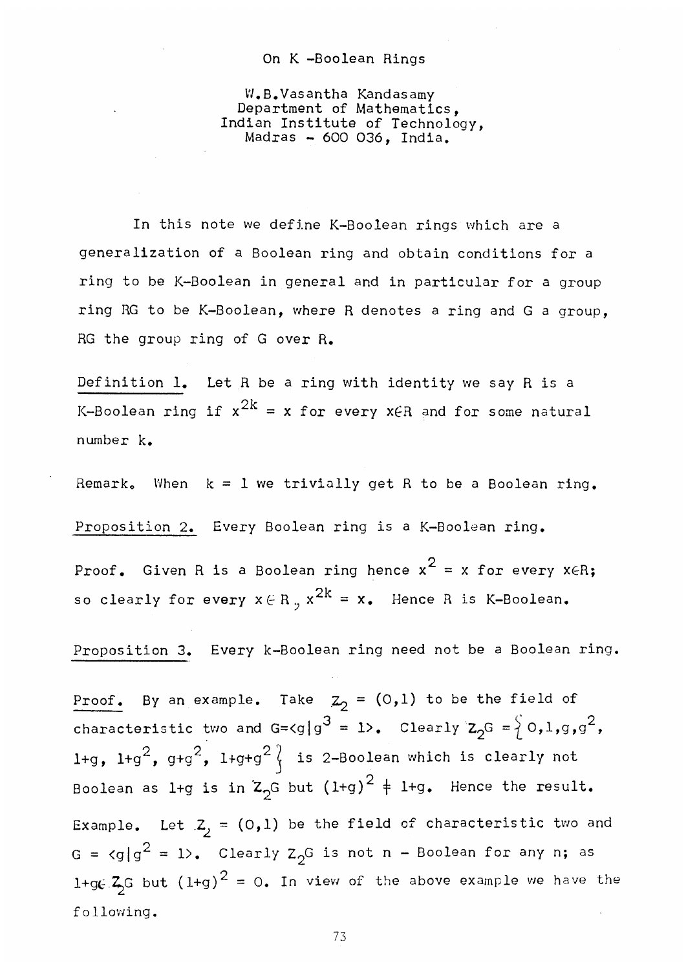#### On K -Boolean Rings

W.B.Vasantha Kandasamy Department of Mathematics, Indian Institute of Technology, Madras - 600 036, India.

In this note we define K-Boolean rings which are a generalization of a Boolean ring and obtain conditions for a ring to be K-Boolean in general and in particular for a group ring RG to be K-Boolean, where R denotes a ring and G a group, RG the group ring of G over R.

Definition 1. Let R be a ring with identity we say R is a K-Boolean ring if  $x^{2k} = x$  for every x $\in$ R and for some natural  $k_{\rm B}$ 

Remark. When  $k = 1$  we trivially get R to be a Boolean ring.

Proposition 2. Every Boolean ring is a K-Boolean ring.

 $\overline{2}$ proof. Given R is a Boolean ring hence  $x - x$  for every year. so clearly for every  $x \in R_n$ ,  $x^{2k} = x_0$ . Hence R is K-Boolean.

so clearly for every x  $\mathbb{R}^n$  =  $\mathbb{R}^n$  =  $\mathbb{R}^n$  =  $\mathbb{R}^n$  =  $\mathbb{R}^n$  =  $\mathbb{R}^n$  =  $\mathbb{R}^n$  =  $\mathbb{R}^n$  =  $\mathbb{R}^n$  =  $\mathbb{R}^n$  =  $\mathbb{R}^n$  =  $\mathbb{R}^n$  =  $\mathbb{R}^n$  =  $\mathbb{R}^n$  =  $\mathbb{R}^n$  =  $\mathbb$ 

Proof. By an example. Take  $Z_2 = (0,1)$  to be the field of  $\frac{1}{2}$  example. The contract of  $\frac{1}{2}$  and  $\frac{1}{2}$  and  $\frac{1}{2}$  and  $\frac{1}{2}$  of  $\frac{1}{2}$ l+g, l+g $^2$ , g+g $^2$ , l+g+g $^2\langle$  is 2-Boolean which is clearly not Boolean as  $1+g$  is in  $Z_2$ <sup>G</sup> but  $(1+g)^2 + 1+g$ . Hence the result. Example. Let  $Z_j = (0,1)$  be the field of characteristic two and G =  $\langle g | g^2 = 1 \rangle$ . Clearly Z<sub>2</sub>G is not n - Boolean for any n; as  $\frac{1}{x^2}$  c but  $\left(\frac{1}{x}\right)^2$  = 0. In view of the above example we have  $f_{\alpha}$  but  $f_{\alpha}$  = 0. In view of the above example we have the above example we have the above example we have the above example we have the above example we have the above example we have the above example we have the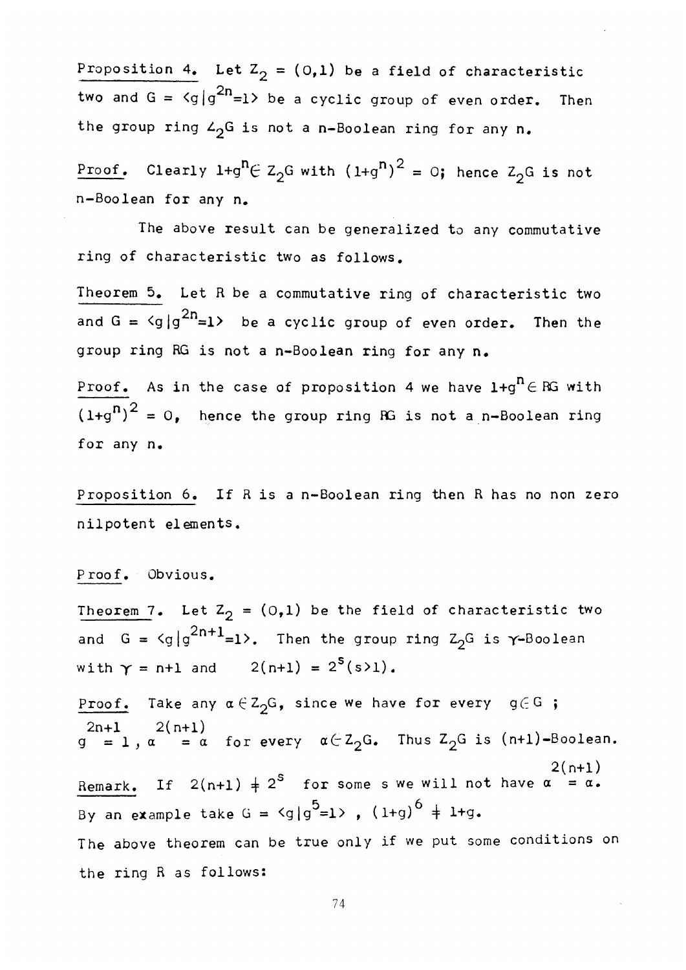Proposition 4. Let  $Z_2 = (0,1)$  be a field of characteristic two and  $G = \langle g | g^{2n} = 1 \rangle$  be a cyclic group of even order. Then the group ring  $L_2G$  is not a n-Boolean ring for any n.

Proof. Clearly l+g  $\left( \frac{2}{9}$  with (1+g) = 0; hence  $\frac{2}{9}$  is not  $n-\text{Boolean}$  for any  $n_{\bullet}$ 

The above result can be generalized to any commutative ring of characteristic two as follows.

Theorem 5. Let R be a commutative ring of characteristic two and  $G = \langle g | g^{2n} = 1 \rangle$  be a cyclic group of even order. Then the group ring RG is not a n-Boolean ring for any n.

Proof. As in the case of proposition 4 we have  $1+g^n \in \mathbb{R}$  with  $\frac{1}{\sqrt{2\pi}}$ (let  $\mathcal{L} = \mathcal{L}$  ) and  $\mathcal{L} = \mathcal{L}$  . Hence the group ring RG is not a n-Boolean ring RG is not a n-Boolean ring RG is not a n-Boolean ring RG is not a n-Boolean ring RG is not a n-Boolean ring RG is not a n-Boolea for any n\*

Proposition 6. If R is a n-Boolean ring then R has no non zero nilpotent elements.

P roof. Obvious.

Theorem 7. Let  $Z_2 = (0,1)$  be the field of characteristic two and  $G = \langle g | g^{2n+1} = 1 \rangle$ . Then the group ring  $Z_2G$  is  $\gamma$ -Boolean with  $\gamma = n+1$  and  $2(n+1) = 2^{s}(s)1$ .

Proof. Take any  $\alpha\in\mathsf{Z}_{\mathfrak{I}}\mathsf{G}\,,$  since we have for every  $\mathrm{g}\in\mathsf{G}$  ; 2n+l 2(n+l)  $g = 1, \alpha = \alpha$  for every  $\alpha \subset \mathcal{L}_2$  G. Thus  $\mathcal{L}_2$  and  $\alpha$  is (n+1)=Boolean.  $2(n+1)$ Remark. If  $2(n+1) \neq 2^5$  for some s we will not have  $\alpha = \alpha$ .  $5 - 1 \times (1 + \alpha)^6$ By an example take G = <g|g =1> , (1+g) 4 1+9. The above theorem can be true only if we put some conditions on the ring R as follows: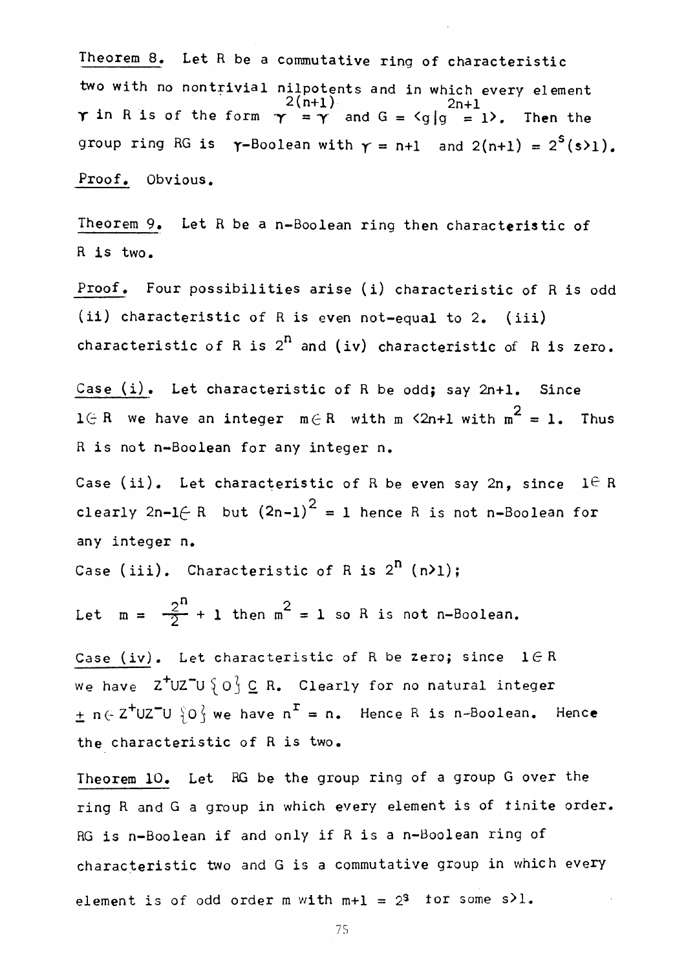Theorem 8. Let R be a commutative ring of characteristic two with no nontrivial nilpotents and in which every element<br> $2(n+1)$ <br>2n+1 2(n+l) 2n+l  $\boldsymbol{\gamma}$  in R is of the form  $\boldsymbol{\gamma}$  =  $\boldsymbol{\gamma}$  and G =  $\texttt{\{g\}}\texttt{g}$  = 1 $\boldsymbol{\lambda}$ . Then the group ring RG is  $\gamma$ -Boolean with  $\gamma = n+1$  and  $2(n+1) = 2^{s}(s)1$ . Proof, Obvious.

Theorem 9. Let R be a n-Boolean ring then characteristic of R is two.

Proof. Four possibilities arise (i) characteristic of R is odd (ii) characteristic of R is even not-equal to 2. (iii) characteristic of R is  $2^n$  and (iv) characteristic of R is zero.

Case  $(i)$ . Let characteristic of R be odd; say 2n+1. Since  $1 \oplus R$  we have an integer  $m \oplus R$  with  $m \leq 2n+1$  with  $m^2 = 1$ . Thus R is not n-Boolean for any integer n.

Case (ii). Let characteristic of R be even say 2n, since  $1 \in R$ clearly  $2n-1$ *(* R but  $(2n-1)^2$  = 1 hence R is not n-Boolean for clearly 2n-l£- R but (2n-l) = 1 hence R is not n-Boolean for

Case (iii). Characteristic of R is  $2^{n}$  (n>1);

Let  $m = \frac{2^{n}}{2} + 1$  then  $m^{2} = 1$  so R is not n-Boolean.

Case (iv). Let characteristic of R be zero; since  $1 \in R$ we have  $Z^+UZ^-U\ \{O\} \subseteq R$ . Clearly for no natural integer  $\pm$  n(-Z<sup>+</sup>UZ<sup>-</sup>U  $\{0\}$  we have n<sup>r</sup> = n. Hence R is n-Boolean. Hence the characteristic of R is two.

Theorem 10. Let RG be the group ring of a group G over the ring R and G a group in which every element is of finite order. RG is n-Boolean if and only if R is a n-Boolean ring of characteristic two and G is a commutative group in which every element is of odd order m with  $m+1 = 2^3$  for some s>1.

75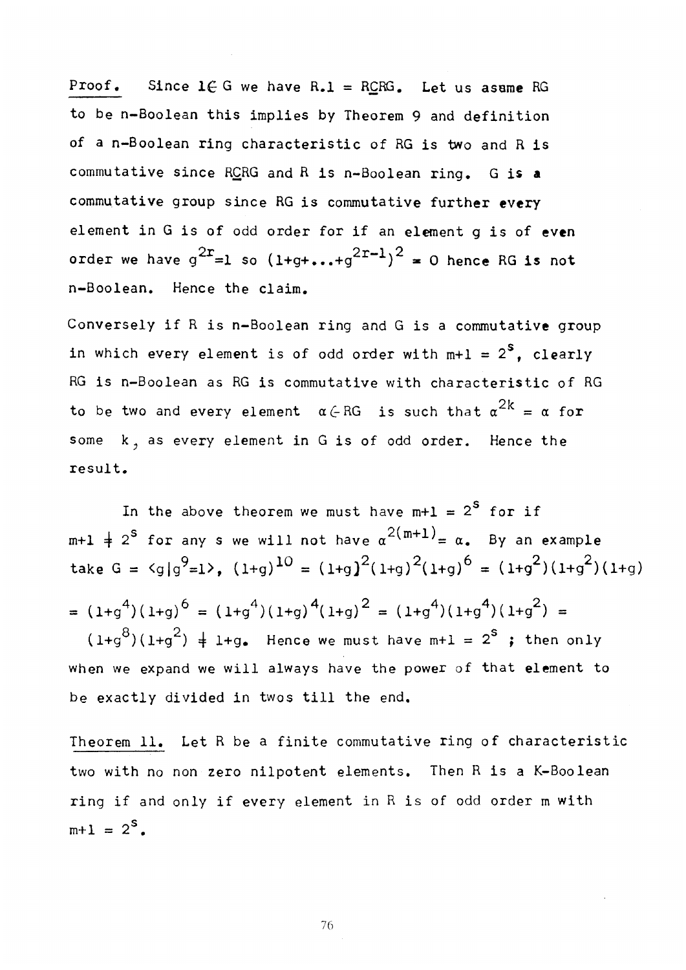Proof. Since  $1 \in G$  we have R.1 = RCRG. Let us asame RG to be n-Boolean this implies by Theorem 9 and definition of a n-Boolean ring characteristic of RG is two and R is commutative since RCRG and R is n-Boolean ring. G is a commutative group since RG is commutative further every element in G is of odd order for if an element g is of even order we have  $g^{\pm}=1$  so  $(1+g+\ldots +g^{\pm -1})^{\pm}=0$  hence RG is not n-Boolean. Hence the claim.

Conversely if R is n-Boolean ring and G is a commutative group in which every element is of odd order with  $m+1 = 2<sup>S</sup>$ , clearly RG is n-Boolean as RG is commutative with characteristic of RG to be two and every element  $\alpha \in RG$  is such that  $\alpha^{2k} = \alpha$  for some k, as every element in G is of odd order. Hence the  $\mathbf{S}$ some k as even y element in G is of order. Hence the order order order order. Hence the order order. Hence the order order order order. Hence the order of order order order order order order. Hence the order order

In the above theorem we must have  $m+1 = 2^S$  for if  $m+1 \neq 2^S$  for any s we will not have  $\alpha^{2(m+1)} = \alpha$ . By an example take G =  $\langle g|g^9=1\rangle$ ,  $(1+g)^{10} = (1+g)^2(1+g)^2(1+g)^6 = (1+g^2)(1+g^2)(1+g)$  $= (1+g^{-1})(1+g)^{\circ} = (1+g^{-1})(1+g)^{-1}(1+g)^{\circ} = (1+g^{-1})(1+g^{-1})(1+g^{-1}) = 0$  $8\frac{2}{11x^2}$  is seen we must have  $m! = 2^s$  $(1+g^{\sim})(1+g^{\sim})$   $\neq$  1+g. Hence we must have m+1 = 2 $\degree$  ; then only when we expand we will always have the power of that element to be exactly divided in twos till the end.

Theorem 11. Let R be a finite commutative ring of characteristic two with no non zero nilpotent elements. Then R is a K-Boolean ring if and only if every element in R is of odd order m with  $m+1 = 2^s$ .

**76**